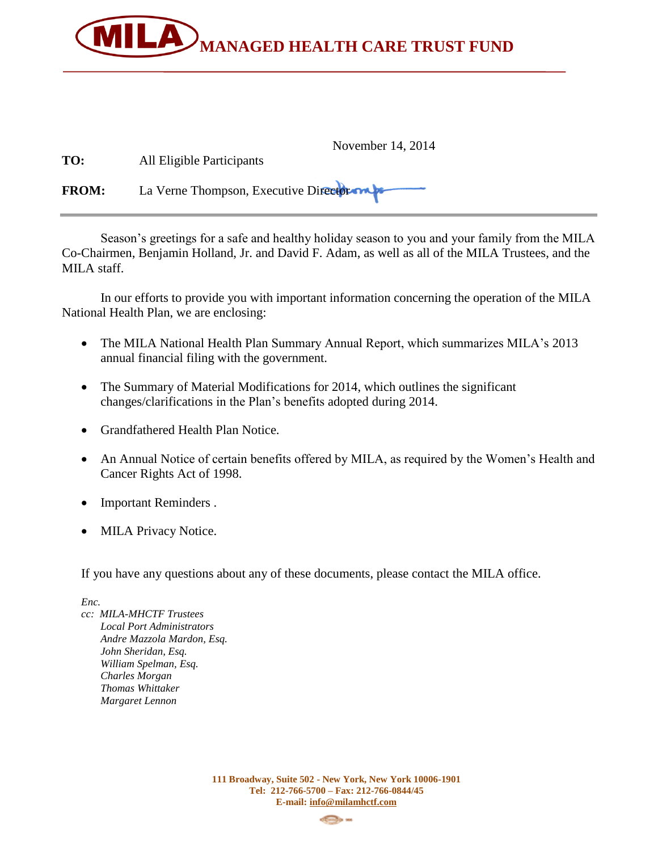

| TO:          | November 14, 2014<br>All Eligible Participants |
|--------------|------------------------------------------------|
| <b>FROM:</b> | La Verne Thompson, Executive Director          |

Season's greetings for a safe and healthy holiday season to you and your family from the MILA Co-Chairmen, Benjamin Holland, Jr. and David F. Adam, as well as all of the MILA Trustees, and the MILA staff.

In our efforts to provide you with important information concerning the operation of the MILA National Health Plan, we are enclosing:

- The MILA National Health Plan Summary Annual Report, which summarizes MILA's 2013 annual financial filing with the government.
- The Summary of Material Modifications for 2014, which outlines the significant changes/clarifications in the Plan's benefits adopted during 2014.
- Grandfathered Health Plan Notice.
- An Annual Notice of certain benefits offered by MILA, as required by the Women's Health and Cancer Rights Act of 1998.
- Important Reminders.
- MILA Privacy Notice.

If you have any questions about any of these documents, please contact the MILA office.

*Enc.* 

*cc: MILA-MHCTF Trustees Local Port Administrators Andre Mazzola Mardon, Esq. John Sheridan, Esq. William Spelman, Esq. Charles Morgan Thomas Whittaker Margaret Lennon*

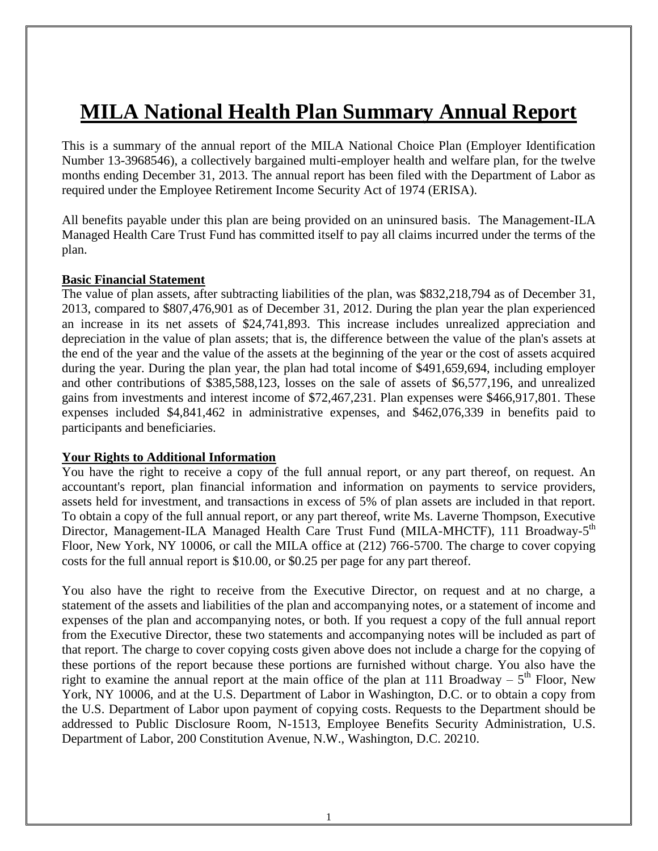# **MILA National Health Plan Summary Annual Report**

This is a summary of the annual report of the MILA National Choice Plan (Employer Identification Number 13-3968546), a collectively bargained multi-employer health and welfare plan, for the twelve months ending December 31, 2013. The annual report has been filed with the Department of Labor as required under the Employee Retirement Income Security Act of 1974 (ERISA).

All benefits payable under this plan are being provided on an uninsured basis. The Management-ILA Managed Health Care Trust Fund has committed itself to pay all claims incurred under the terms of the plan.

#### **Basic Financial Statement**

The value of plan assets, after subtracting liabilities of the plan, was \$832,218,794 as of December 31, 2013, compared to \$807,476,901 as of December 31, 2012. During the plan year the plan experienced an increase in its net assets of \$24,741,893. This increase includes unrealized appreciation and depreciation in the value of plan assets; that is, the difference between the value of the plan's assets at the end of the year and the value of the assets at the beginning of the year or the cost of assets acquired during the year. During the plan year, the plan had total income of \$491,659,694, including employer and other contributions of \$385,588,123, losses on the sale of assets of \$6,577,196, and unrealized gains from investments and interest income of \$72,467,231. Plan expenses were \$466,917,801. These expenses included \$4,841,462 in administrative expenses, and \$462,076,339 in benefits paid to participants and beneficiaries.

#### **Your Rights to Additional Information**

You have the right to receive a copy of the full annual report, or any part thereof, on request. An accountant's report, plan financial information and information on payments to service providers, assets held for investment, and transactions in excess of 5% of plan assets are included in that report. To obtain a copy of the full annual report, or any part thereof, write Ms. Laverne Thompson, Executive Director, Management-ILA Managed Health Care Trust Fund (MILA-MHCTF), 111 Broadway-5<sup>th</sup> Floor, New York, NY 10006, or call the MILA office at (212) 766-5700. The charge to cover copying costs for the full annual report is \$10.00, or \$0.25 per page for any part thereof.

You also have the right to receive from the Executive Director, on request and at no charge, a statement of the assets and liabilities of the plan and accompanying notes, or a statement of income and expenses of the plan and accompanying notes, or both. If you request a copy of the full annual report from the Executive Director, these two statements and accompanying notes will be included as part of that report. The charge to cover copying costs given above does not include a charge for the copying of these portions of the report because these portions are furnished without charge. You also have the right to examine the annual report at the main office of the plan at 111 Broadway –  $5<sup>th</sup>$  Floor, New York, NY 10006, and at the U.S. Department of Labor in Washington, D.C. or to obtain a copy from the U.S. Department of Labor upon payment of copying costs. Requests to the Department should be addressed to Public Disclosure Room, N-1513, Employee Benefits Security Administration, U.S. Department of Labor, 200 Constitution Avenue, N.W., Washington, D.C. 20210.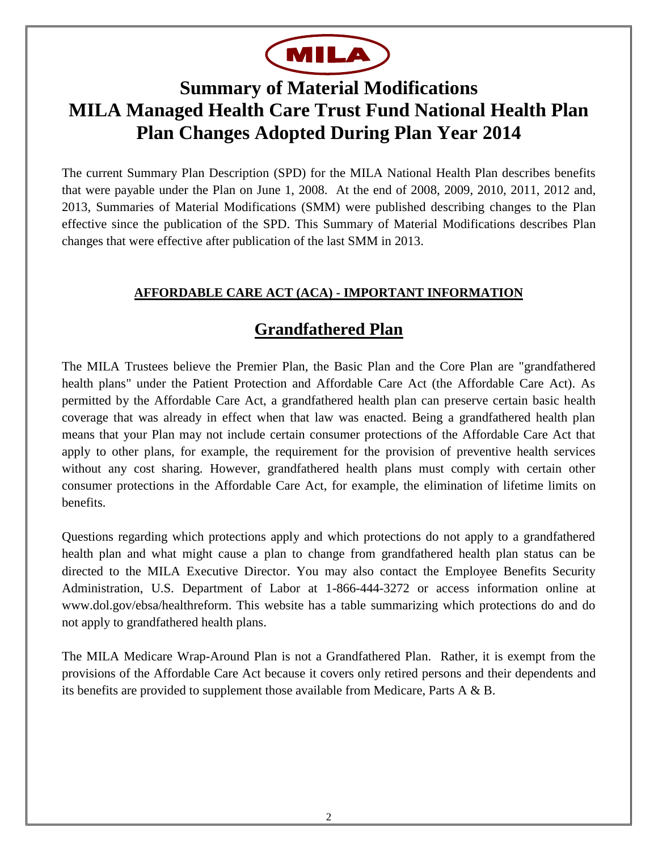

# **Summary of Material Modifications MILA Managed Health Care Trust Fund National Health Plan Plan Changes Adopted During Plan Year 2014**

The current Summary Plan Description (SPD) for the MILA National Health Plan describes benefits that were payable under the Plan on June 1, 2008. At the end of 2008, 2009, 2010, 2011, 2012 and, 2013, Summaries of Material Modifications (SMM) were published describing changes to the Plan effective since the publication of the SPD. This Summary of Material Modifications describes Plan changes that were effective after publication of the last SMM in 2013.

### **AFFORDABLE CARE ACT (ACA) - IMPORTANT INFORMATION**

# **Grandfathered Plan**

The MILA Trustees believe the Premier Plan, the Basic Plan and the Core Plan are "grandfathered health plans" under the Patient Protection and Affordable Care Act (the Affordable Care Act). As permitted by the Affordable Care Act, a grandfathered health plan can preserve certain basic health coverage that was already in effect when that law was enacted. Being a grandfathered health plan means that your Plan may not include certain consumer protections of the Affordable Care Act that apply to other plans, for example, the requirement for the provision of preventive health services without any cost sharing. However, grandfathered health plans must comply with certain other consumer protections in the Affordable Care Act, for example, the elimination of lifetime limits on benefits.

Questions regarding which protections apply and which protections do not apply to a grandfathered health plan and what might cause a plan to change from grandfathered health plan status can be directed to the MILA Executive Director. You may also contact the Employee Benefits Security Administration, U.S. Department of Labor at 1-866-444-3272 or access information online at www.dol.gov/ebsa/healthreform. This website has a table summarizing which protections do and do not apply to grandfathered health plans.

The MILA Medicare Wrap-Around Plan is not a Grandfathered Plan. Rather, it is exempt from the provisions of the Affordable Care Act because it covers only retired persons and their dependents and its benefits are provided to supplement those available from Medicare, Parts A & B.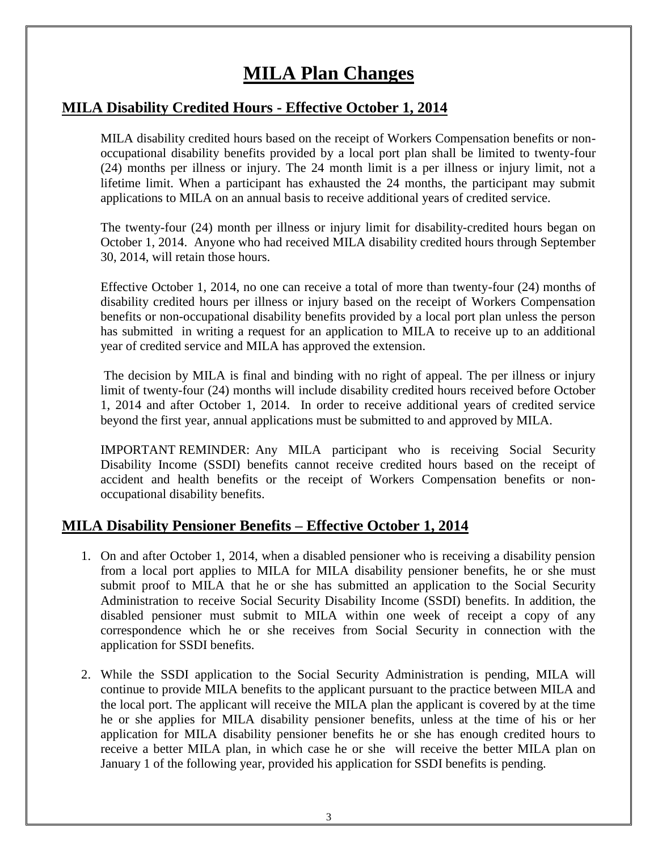# **MILA Plan Changes**

## **MILA Disability Credited Hours - Effective October 1, 2014**

MILA disability credited hours based on the receipt of Workers Compensation benefits or nonoccupational disability benefits provided by a local port plan shall be limited to twenty-four (24) months per illness or injury. The 24 month limit is a per illness or injury limit, not a lifetime limit. When a participant has exhausted the 24 months, the participant may submit applications to MILA on an annual basis to receive additional years of credited service.

The twenty-four (24) month per illness or injury limit for disability-credited hours began on October 1, 2014. Anyone who had received MILA disability credited hours through September 30, 2014, will retain those hours.

Effective October 1, 2014, no one can receive a total of more than twenty-four (24) months of disability credited hours per illness or injury based on the receipt of Workers Compensation benefits or non-occupational disability benefits provided by a local port plan unless the person has submitted in writing a request for an application to MILA to receive up to an additional year of credited service and MILA has approved the extension.

The decision by MILA is final and binding with no right of appeal. The per illness or injury limit of twenty-four (24) months will include disability credited hours received before October 1, 2014 and after October 1, 2014. In order to receive additional years of credited service beyond the first year, annual applications must be submitted to and approved by MILA.

IMPORTANT REMINDER: Any MILA participant who is receiving Social Security Disability Income (SSDI) benefits cannot receive credited hours based on the receipt of accident and health benefits or the receipt of Workers Compensation benefits or nonoccupational disability benefits.

## **MILA Disability Pensioner Benefits – Effective October 1, 2014**

- 1. On and after October 1, 2014, when a disabled pensioner who is receiving a disability pension from a local port applies to MILA for MILA disability pensioner benefits, he or she must submit proof to MILA that he or she has submitted an application to the Social Security Administration to receive Social Security Disability Income (SSDI) benefits. In addition, the disabled pensioner must submit to MILA within one week of receipt a copy of any correspondence which he or she receives from Social Security in connection with the application for SSDI benefits.
- 2. While the SSDI application to the Social Security Administration is pending, MILA will continue to provide MILA benefits to the applicant pursuant to the practice between MILA and the local port. The applicant will receive the MILA plan the applicant is covered by at the time he or she applies for MILA disability pensioner benefits, unless at the time of his or her application for MILA disability pensioner benefits he or she has enough credited hours to receive a better MILA plan, in which case he or she will receive the better MILA plan on January 1 of the following year, provided his application for SSDI benefits is pending.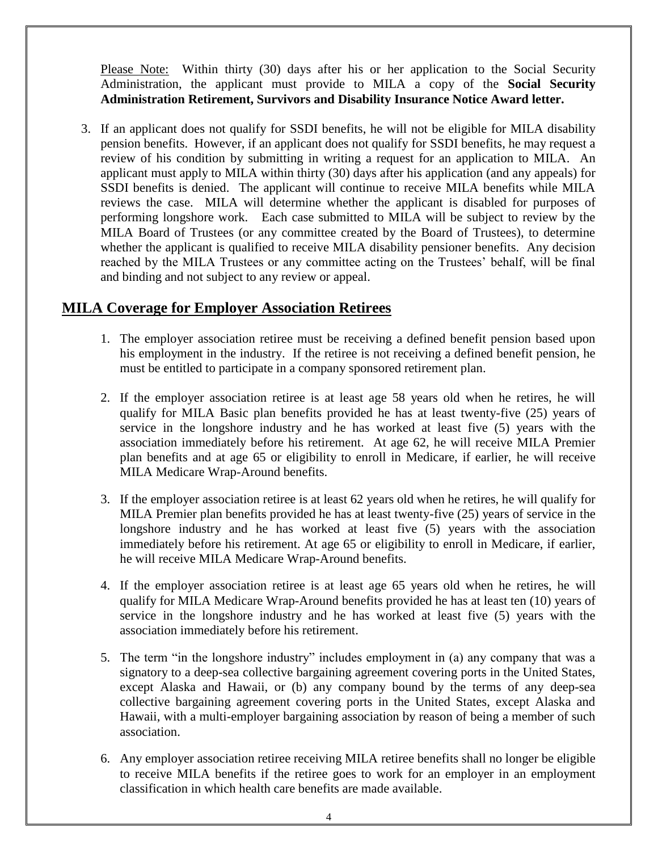Please Note: Within thirty (30) days after his or her application to the Social Security Administration, the applicant must provide to MILA a copy of the **Social Security Administration Retirement, Survivors and Disability Insurance Notice Award letter.**

3. If an applicant does not qualify for SSDI benefits, he will not be eligible for MILA disability pension benefits. However, if an applicant does not qualify for SSDI benefits, he may request a review of his condition by submitting in writing a request for an application to MILA. An applicant must apply to MILA within thirty (30) days after his application (and any appeals) for SSDI benefits is denied. The applicant will continue to receive MILA benefits while MILA reviews the case. MILA will determine whether the applicant is disabled for purposes of performing longshore work. Each case submitted to MILA will be subject to review by the MILA Board of Trustees (or any committee created by the Board of Trustees), to determine whether the applicant is qualified to receive MILA disability pensioner benefits. Any decision reached by the MILA Trustees or any committee acting on the Trustees' behalf, will be final and binding and not subject to any review or appeal.

#### **MILA Coverage for Employer Association Retirees**

- 1. The employer association retiree must be receiving a defined benefit pension based upon his employment in the industry. If the retiree is not receiving a defined benefit pension, he must be entitled to participate in a company sponsored retirement plan.
- 2. If the employer association retiree is at least age 58 years old when he retires, he will qualify for MILA Basic plan benefits provided he has at least twenty-five (25) years of service in the longshore industry and he has worked at least five (5) years with the association immediately before his retirement. At age 62, he will receive MILA Premier plan benefits and at age 65 or eligibility to enroll in Medicare, if earlier, he will receive MILA Medicare Wrap-Around benefits.
- 3. If the employer association retiree is at least 62 years old when he retires, he will qualify for MILA Premier plan benefits provided he has at least twenty-five (25) years of service in the longshore industry and he has worked at least five (5) years with the association immediately before his retirement. At age 65 or eligibility to enroll in Medicare, if earlier, he will receive MILA Medicare Wrap-Around benefits.
- 4. If the employer association retiree is at least age 65 years old when he retires, he will qualify for MILA Medicare Wrap-Around benefits provided he has at least ten (10) years of service in the longshore industry and he has worked at least five (5) years with the association immediately before his retirement.
- 5. The term "in the longshore industry" includes employment in (a) any company that was a signatory to a deep-sea collective bargaining agreement covering ports in the United States, except Alaska and Hawaii, or (b) any company bound by the terms of any deep-sea collective bargaining agreement covering ports in the United States, except Alaska and Hawaii, with a multi-employer bargaining association by reason of being a member of such association.
- 6. Any employer association retiree receiving MILA retiree benefits shall no longer be eligible to receive MILA benefits if the retiree goes to work for an employer in an employment classification in which health care benefits are made available.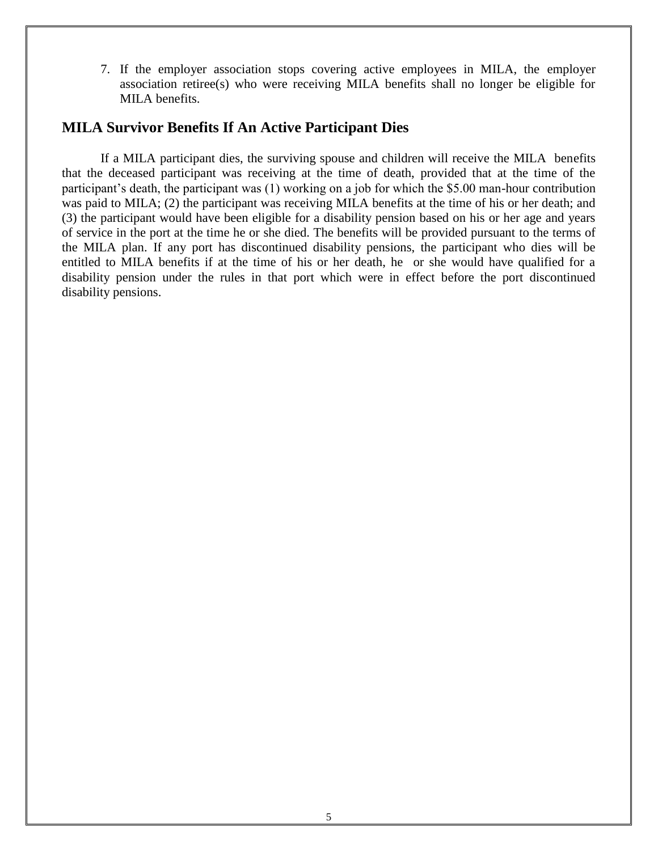7. If the employer association stops covering active employees in MILA, the employer association retiree(s) who were receiving MILA benefits shall no longer be eligible for MILA benefits.

#### **MILA Survivor Benefits If An Active Participant Dies**

If a MILA participant dies, the surviving spouse and children will receive the MILA benefits that the deceased participant was receiving at the time of death, provided that at the time of the participant's death, the participant was (1) working on a job for which the \$5.00 man-hour contribution was paid to MILA; (2) the participant was receiving MILA benefits at the time of his or her death; and (3) the participant would have been eligible for a disability pension based on his or her age and years of service in the port at the time he or she died. The benefits will be provided pursuant to the terms of the MILA plan. If any port has discontinued disability pensions, the participant who dies will be entitled to MILA benefits if at the time of his or her death, he or she would have qualified for a disability pension under the rules in that port which were in effect before the port discontinued disability pensions.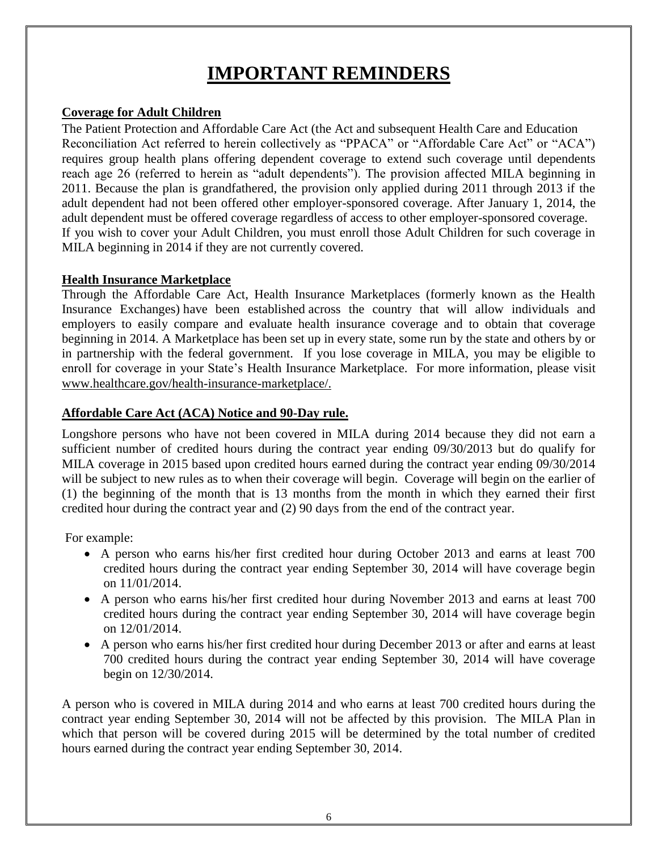# **IMPORTANT REMINDERS**

#### **Coverage for Adult Children**

The Patient Protection and Affordable Care Act (the Act and subsequent Health Care and Education Reconciliation Act referred to herein collectively as "PPACA" or "Affordable Care Act" or "ACA") requires group health plans offering dependent coverage to extend such coverage until dependents reach age 26 (referred to herein as "adult dependents"). The provision affected MILA beginning in 2011. Because the plan is grandfathered, the provision only applied during 2011 through 2013 if the adult dependent had not been offered other employer-sponsored coverage. After January 1, 2014, the adult dependent must be offered coverage regardless of access to other employer-sponsored coverage. If you wish to cover your Adult Children, you must enroll those Adult Children for such coverage in MILA beginning in 2014 if they are not currently covered.

#### **Health Insurance Marketplace**

Through the Affordable Care Act, Health Insurance Marketplaces (formerly known as the Health Insurance Exchanges) have been established across the country that will allow individuals and employers to easily compare and evaluate health insurance coverage and to obtain that coverage beginning in 2014. A Marketplace has been set up in every state, some run by the state and others by or in partnership with the federal government. If you lose coverage in MILA, you may be eligible to enroll for coverage in your State's Health Insurance Marketplace. For more information, please visit [www.healthcare.gov/health-insurance-marketplace/.](http://www.healthcare.gov/health-insurance-marketplace/)

#### **Affordable Care Act (ACA) Notice and 90-Day rule.**

Longshore persons who have not been covered in MILA during 2014 because they did not earn a sufficient number of credited hours during the contract year ending 09/30/2013 but do qualify for MILA coverage in 2015 based upon credited hours earned during the contract year ending 09/30/2014 will be subject to new rules as to when their coverage will begin. Coverage will begin on the earlier of (1) the beginning of the month that is 13 months from the month in which they earned their first credited hour during the contract year and (2) 90 days from the end of the contract year.

For example:

- A person who earns his/her first credited hour during October 2013 and earns at least 700 credited hours during the contract year ending September 30, 2014 will have coverage begin on 11/01/2014.
- A person who earns his/her first credited hour during November 2013 and earns at least 700 credited hours during the contract year ending September 30, 2014 will have coverage begin on 12/01/2014.
- A person who earns his/her first credited hour during December 2013 or after and earns at least 700 credited hours during the contract year ending September 30, 2014 will have coverage begin on 12/30/2014.

A person who is covered in MILA during 2014 and who earns at least 700 credited hours during the contract year ending September 30, 2014 will not be affected by this provision. The MILA Plan in which that person will be covered during 2015 will be determined by the total number of credited hours earned during the contract year ending September 30, 2014.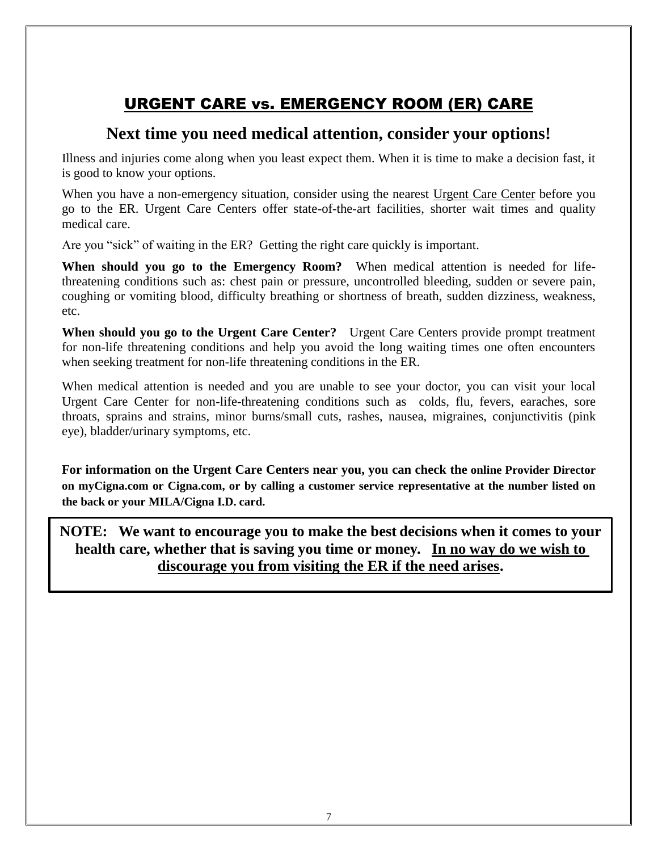# URGENT CARE vs. EMERGENCY ROOM (ER) CARE

## **Next time you need medical attention, consider your options!**

Illness and injuries come along when you least expect them. When it is time to make a decision fast, it is good to know your options.

When you have a non-emergency situation, consider using the nearest Urgent Care Center before you go to the ER. Urgent Care Centers offer state-of-the-art facilities, shorter wait times and quality medical care.

Are you "sick" of waiting in the ER? Getting the right care quickly is important.

**When should you go to the Emergency Room?** When medical attention is needed for lifethreatening conditions such as: chest pain or pressure, uncontrolled bleeding, sudden or severe pain, coughing or vomiting blood, difficulty breathing or shortness of breath, sudden dizziness, weakness, etc.

**When should you go to the Urgent Care Center?** Urgent Care Centers provide prompt treatment for non-life threatening conditions and help you avoid the long waiting times one often encounters when seeking treatment for non-life threatening conditions in the ER.

When medical attention is needed and you are unable to see your doctor, you can visit your local Urgent Care Center for non-life-threatening conditions such as colds, flu, fevers, earaches, sore throats, sprains and strains, minor burns/small cuts, rashes, nausea, migraines, conjunctivitis (pink eye), bladder/urinary symptoms, etc.

**For information on the Urgent Care Centers near you, you can check the online Provider Director on myCigna.com or Cigna.com, or by calling a customer service representative at the number listed on the back or your MILA/Cigna I.D. card.**

**NOTE: We want to encourage you to make the best decisions when it comes to your health care, whether that is saving you time or money. In no way do we wish to discourage you from visiting the ER if the need arises.**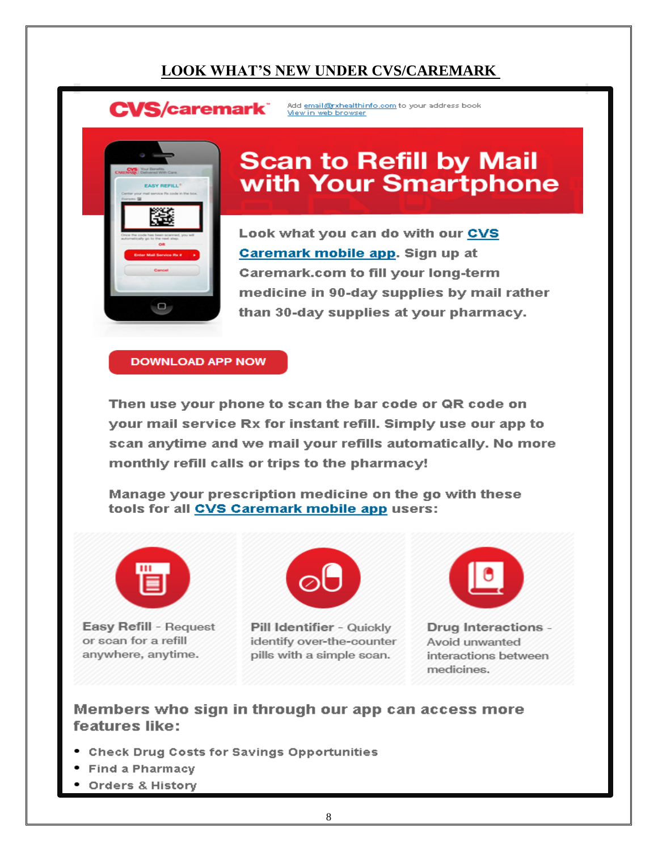## **LOOK WHAT'S NEW UNDER CVS/CAREMARK**

**CVS/caremark** 

Add email@rxhealthinfo.com to your address book View in web browser



# **Scan to Refill by Mail** with Your Smartphone

Look what you can do with our CVS Caremark mobile app. Sign up at **Caremark.com to fill your long-term** medicine in 90-day supplies by mail rather than 30-day supplies at your pharmacy.

**DOWNLOAD APP NOW** 

Then use your phone to scan the bar code or QR code on your mail service Rx for instant refill. Simply use our app to scan anytime and we mail your refills automatically. No more monthly refill calls or trips to the pharmacy!

Manage your prescription medicine on the go with these tools for all CVS Caremark mobile app users:



Easy Refill - Request or scan for a refill anywhere, anytime.



Pill Identifier - Quickly identify over-the-counter pills with a simple scan.



Drug Interactions -Avoid unwanted interactions between medicines.

#### Members who sign in through our app can access more features like:

- Check Drug Costs for Savings Opportunities
- **Find a Pharmacy**
- Orders & History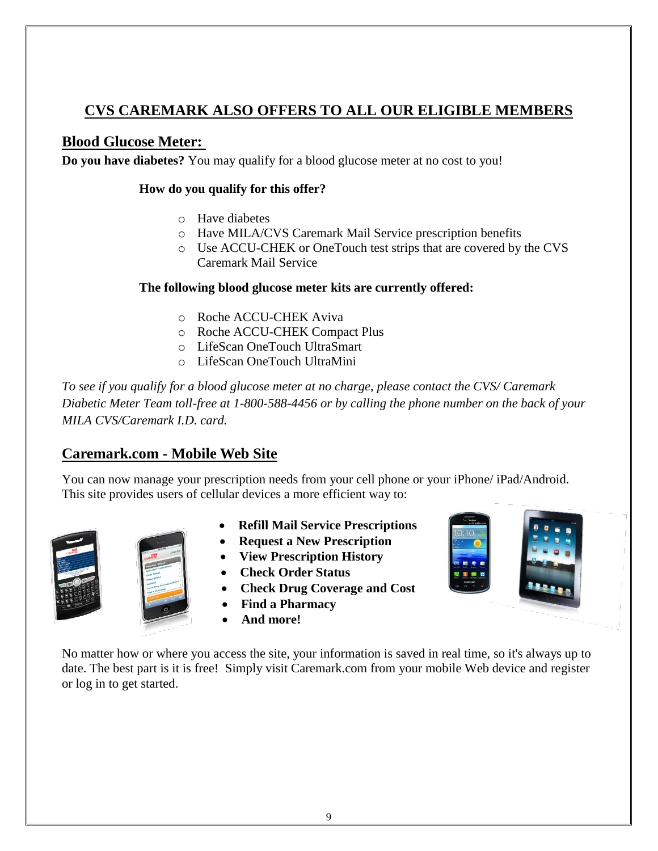## **CVS CAREMARK ALSO OFFERS TO ALL OUR ELIGIBLE MEMBERS**

## **Blood Glucose Meter:**

**Do you have diabetes?** You may qualify for a blood glucose meter at no cost to you!

#### **How do you qualify for this offer?**

- o Have diabetes
- o Have MILA/CVS Caremark Mail Service prescription benefits
- o Use ACCU-CHEK or OneTouch test strips that are covered by the CVS Caremark Mail Service

#### **The following blood glucose meter kits are currently offered:**

- o Roche ACCU-CHEK Aviva
- o Roche ACCU-CHEK Compact Plus
- o LifeScan OneTouch UltraSmart
- o LifeScan OneTouch UltraMini

*To see if you qualify for a blood glucose meter at no charge, please contact the CVS/ Caremark Diabetic Meter Team toll-free at 1-800-588-4456 or by calling the phone number on the back of your MILA CVS/Caremark I.D. card.*

## **Caremark.com - Mobile Web Site**

You can now manage your prescription needs from your cell phone or your iPhone/ iPad/Android. This site provides users of cellular devices a more efficient way to:



- **Refill Mail Service Prescriptions**
- **Request a New Prescription**
- **View Prescription History**
- **Check Order Status**
- **Check Drug Coverage and Cost**
- **Find a Pharmacy**
- **And more!**



No matter how or where you access the site, your information is saved in real time, so it's always up to date. The best part is it is free! Simply visit Caremark.com from your mobile Web device and register or log in to get started.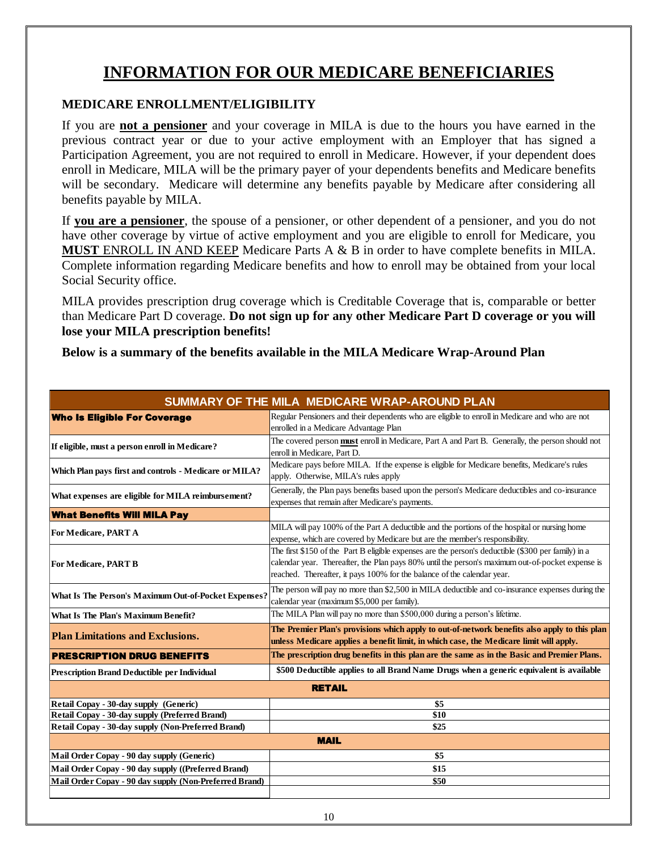# **INFORMATION FOR OUR MEDICARE BENEFICIARIES**

#### **MEDICARE ENROLLMENT/ELIGIBILITY**

If you are **not a pensioner** and your coverage in MILA is due to the hours you have earned in the previous contract year or due to your active employment with an Employer that has signed a Participation Agreement, you are not required to enroll in Medicare. However, if your dependent does enroll in Medicare, MILA will be the primary payer of your dependents benefits and Medicare benefits will be secondary. Medicare will determine any benefits payable by Medicare after considering all benefits payable by MILA.

If **you are a pensioner**, the spouse of a pensioner, or other dependent of a pensioner, and you do not have other coverage by virtue of active employment and you are eligible to enroll for Medicare, you **MUST** ENROLL IN AND KEEP Medicare Parts A & B in order to have complete benefits in MILA. Complete information regarding Medicare benefits and how to enroll may be obtained from your local Social Security office.

MILA provides prescription drug coverage which is Creditable Coverage that is, comparable or better than Medicare Part D coverage. **Do not sign up for any other Medicare Part D coverage or you will lose your MILA prescription benefits!**

**Below is a summary of the benefits available in the MILA Medicare Wrap-Around Plan** 

| SUMMARY OF THE MILA MEDICARE WRAP-AROUND PLAN          |                                                                                                                                                                                                                                                                                    |  |  |
|--------------------------------------------------------|------------------------------------------------------------------------------------------------------------------------------------------------------------------------------------------------------------------------------------------------------------------------------------|--|--|
| <b>Who Is Eligible For Coverage</b>                    | Regular Pensioners and their dependents who are eligible to enroll in Medicare and who are not<br>enrolled in a Medicare Advantage Plan                                                                                                                                            |  |  |
| If eligible, must a person enroll in Medicare?         | The covered person must enroll in Medicare, Part A and Part B. Generally, the person should not<br>enroll in Medicare, Part D.                                                                                                                                                     |  |  |
| Which Plan pays first and controls - Medicare or MILA? | Medicare pays before MILA. If the expense is eligible for Medicare benefits, Medicare's rules<br>apply. Otherwise, MILA's rules apply                                                                                                                                              |  |  |
| What expenses are eligible for MILA reimbursement?     | Generally, the Plan pays benefits based upon the person's Medicare deductibles and co-insurance<br>expenses that remain after Medicare's payments.                                                                                                                                 |  |  |
| <b>What Benefits Will MILA Pay</b>                     |                                                                                                                                                                                                                                                                                    |  |  |
| For Medicare, PART A                                   | MILA will pay 100% of the Part A deductible and the portions of the hospital or nursing home<br>expense, which are covered by Medicare but are the member's responsibility.                                                                                                        |  |  |
| <b>For Medicare, PART B</b>                            | The first \$150 of the Part B eligible expenses are the person's deductible (\$300 per family) in a<br>calendar year. Thereafter, the Plan pays 80% until the person's maximum out-of-pocket expense is<br>reached. Thereafter, it pays 100% for the balance of the calendar year. |  |  |
| What Is The Person's Maximum Out-of-Pocket Expenses?   | The person will pay no more than \$2,500 in MILA deductible and co-insurance expenses during the<br>calendar year (maximum \$5,000 per family).                                                                                                                                    |  |  |
| What Is The Plan's Maximum Benefit?                    | The MILA Plan will pay no more than \$500,000 during a person's lifetime.                                                                                                                                                                                                          |  |  |
| <b>Plan Limitations and Exclusions.</b>                | The Premier Plan's provisions which apply to out-of-network benefits also apply to this plan<br>unless Medicare applies a benefit limit, in which case, the Medicare limit will apply.                                                                                             |  |  |
| <b>PRESCRIPTION DRUG BENEFITS</b>                      | The prescription drug benefits in this plan are the same as in the Basic and Premier Plans.                                                                                                                                                                                        |  |  |
| <b>Prescription Brand Deductible per Individual</b>    | \$500 Deductible applies to all Brand Name Drugs when a generic equivalent is available                                                                                                                                                                                            |  |  |
| <b>RETAIL</b>                                          |                                                                                                                                                                                                                                                                                    |  |  |
| Retail Copay - 30-day supply (Generic)                 | \$5                                                                                                                                                                                                                                                                                |  |  |
| Retail Copay - 30-day supply (Preferred Brand)         | \$10                                                                                                                                                                                                                                                                               |  |  |
| Retail Copay - 30-day supply (Non-Preferred Brand)     | \$25                                                                                                                                                                                                                                                                               |  |  |
| <b>MAIL</b>                                            |                                                                                                                                                                                                                                                                                    |  |  |
| Mail Order Copay - 90 day supply (Generic)             | \$5                                                                                                                                                                                                                                                                                |  |  |
| Mail Order Copay - 90 day supply ((Preferred Brand)    | \$15                                                                                                                                                                                                                                                                               |  |  |
| Mail Order Copay - 90 day supply (Non-Preferred Brand) | \$50                                                                                                                                                                                                                                                                               |  |  |
|                                                        |                                                                                                                                                                                                                                                                                    |  |  |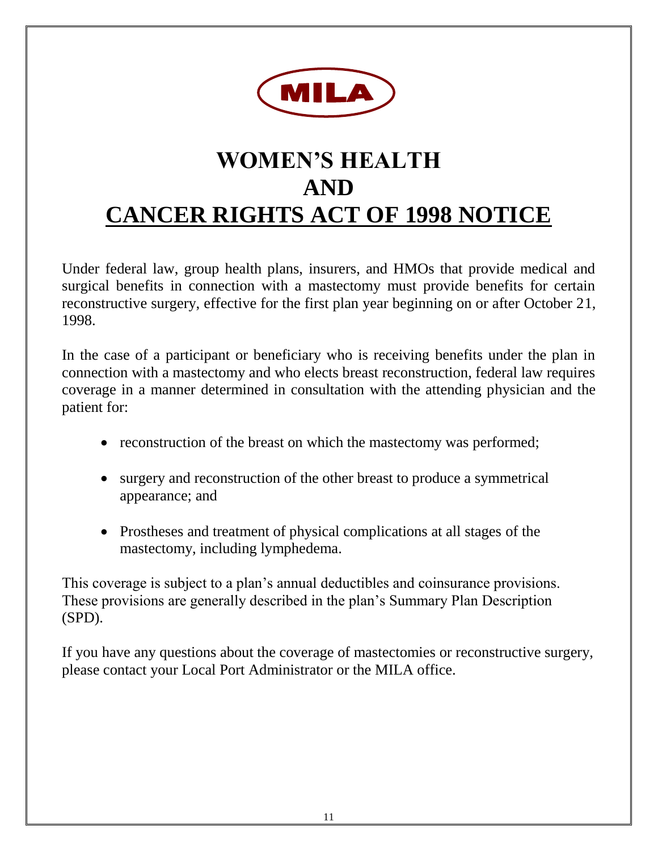

# **WOMEN'S HEALTH AND CANCER RIGHTS ACT OF 1998 NOTICE**

Under federal law, group health plans, insurers, and HMOs that provide medical and surgical benefits in connection with a mastectomy must provide benefits for certain reconstructive surgery, effective for the first plan year beginning on or after October 21, 1998.

In the case of a participant or beneficiary who is receiving benefits under the plan in connection with a mastectomy and who elects breast reconstruction, federal law requires coverage in a manner determined in consultation with the attending physician and the patient for:

- reconstruction of the breast on which the mastectomy was performed;
- surgery and reconstruction of the other breast to produce a symmetrical appearance; and
- Prostheses and treatment of physical complications at all stages of the mastectomy, including lymphedema.

This coverage is subject to a plan's annual deductibles and coinsurance provisions. These provisions are generally described in the plan's Summary Plan Description (SPD).

If you have any questions about the coverage of mastectomies or reconstructive surgery, please contact your Local Port Administrator or the MILA office.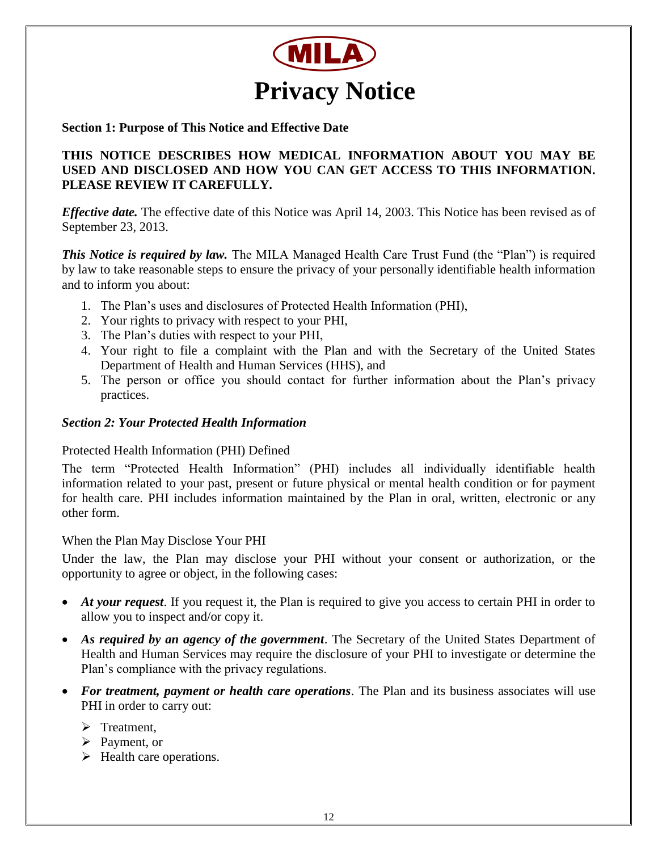

#### **Section 1: Purpose of This Notice and Effective Date**

#### **THIS NOTICE DESCRIBES HOW MEDICAL INFORMATION ABOUT YOU MAY BE USED AND DISCLOSED AND HOW YOU CAN GET ACCESS TO THIS INFORMATION. PLEASE REVIEW IT CAREFULLY.**

*Effective date.* The effective date of this Notice was April 14, 2003. This Notice has been revised as of September 23, 2013.

*This Notice is required by law.* The MILA Managed Health Care Trust Fund (the "Plan") is required by law to take reasonable steps to ensure the privacy of your personally identifiable health information and to inform you about:

- 1. The Plan's uses and disclosures of Protected Health Information (PHI),
- 2. Your rights to privacy with respect to your PHI,
- 3. The Plan's duties with respect to your PHI,
- 4. Your right to file a complaint with the Plan and with the Secretary of the United States Department of Health and Human Services (HHS), and
- 5. The person or office you should contact for further information about the Plan's privacy practices.

#### *Section 2: Your Protected Health Information*

#### Protected Health Information (PHI) Defined

The term "Protected Health Information" (PHI) includes all individually identifiable health information related to your past, present or future physical or mental health condition or for payment for health care. PHI includes information maintained by the Plan in oral, written, electronic or any other form.

#### When the Plan May Disclose Your PHI

Under the law, the Plan may disclose your PHI without your consent or authorization, or the opportunity to agree or object, in the following cases:

- *At your request*. If you request it, the Plan is required to give you access to certain PHI in order to allow you to inspect and/or copy it.
- *As required by an agency of the government*. The Secretary of the United States Department of Health and Human Services may require the disclosure of your PHI to investigate or determine the Plan's compliance with the privacy regulations.
- *For treatment, payment or health care operations*. The Plan and its business associates will use PHI in order to carry out:
	- $\triangleright$  Treatment,
	- $\triangleright$  Payment, or
	- $\blacktriangleright$  Health care operations.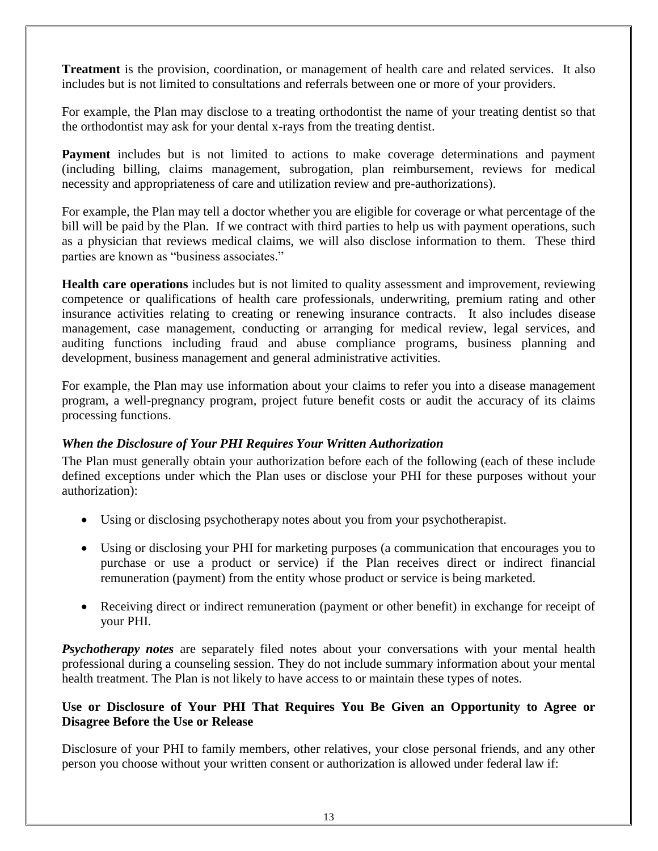**Treatment** is the provision, coordination, or management of health care and related services. It also includes but is not limited to consultations and referrals between one or more of your providers.

For example, the Plan may disclose to a treating orthodontist the name of your treating dentist so that the orthodontist may ask for your dental x-rays from the treating dentist.

**Payment** includes but is not limited to actions to make coverage determinations and payment (including billing, claims management, subrogation, plan reimbursement, reviews for medical necessity and appropriateness of care and utilization review and pre-authorizations).

For example, the Plan may tell a doctor whether you are eligible for coverage or what percentage of the bill will be paid by the Plan. If we contract with third parties to help us with payment operations, such as a physician that reviews medical claims, we will also disclose information to them. These third parties are known as "business associates."

**Health care operations** includes but is not limited to quality assessment and improvement, reviewing competence or qualifications of health care professionals, underwriting, premium rating and other insurance activities relating to creating or renewing insurance contracts. It also includes disease management, case management, conducting or arranging for medical review, legal services, and auditing functions including fraud and abuse compliance programs, business planning and development, business management and general administrative activities.

For example, the Plan may use information about your claims to refer you into a disease management program, a well-pregnancy program, project future benefit costs or audit the accuracy of its claims processing functions.

#### *When the Disclosure of Your PHI Requires Your Written Authorization*

The Plan must generally obtain your authorization before each of the following (each of these include defined exceptions under which the Plan uses or disclose your PHI for these purposes without your authorization):

- Using or disclosing psychotherapy notes about you from your psychotherapist.
- Using or disclosing your PHI for marketing purposes (a communication that encourages you to purchase or use a product or service) if the Plan receives direct or indirect financial remuneration (payment) from the entity whose product or service is being marketed.
- Receiving direct or indirect remuneration (payment or other benefit) in exchange for receipt of your PHI.

*Psychotherapy notes* are separately filed notes about your conversations with your mental health professional during a counseling session. They do not include summary information about your mental health treatment. The Plan is not likely to have access to or maintain these types of notes.

#### **Use or Disclosure of Your PHI That Requires You Be Given an Opportunity to Agree or Disagree Before the Use or Release**

Disclosure of your PHI to family members, other relatives, your close personal friends, and any other person you choose without your written consent or authorization is allowed under federal law if: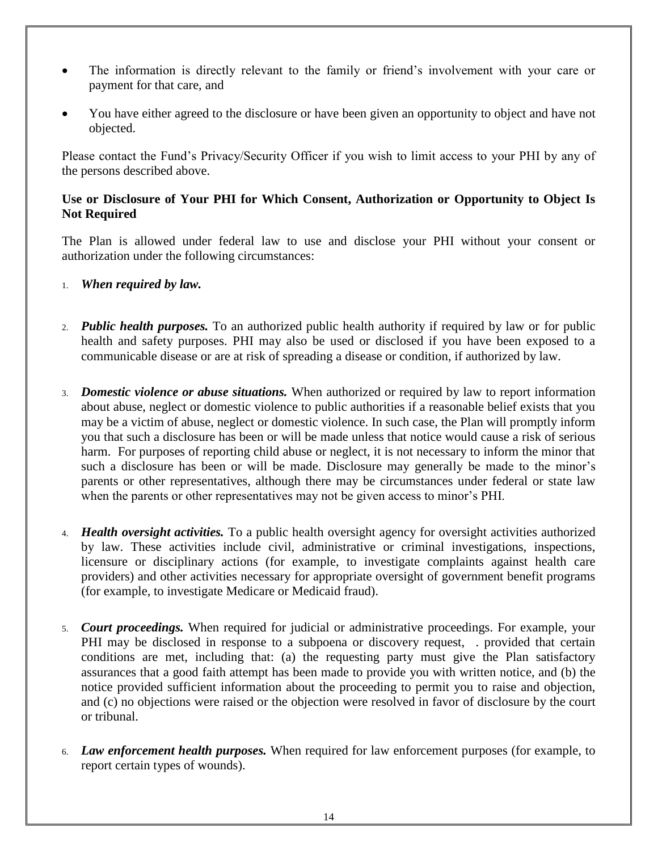- The information is directly relevant to the family or friend's involvement with your care or payment for that care, and
- You have either agreed to the disclosure or have been given an opportunity to object and have not objected.

Please contact the Fund's Privacy/Security Officer if you wish to limit access to your PHI by any of the persons described above.

#### **Use or Disclosure of Your PHI for Which Consent, Authorization or Opportunity to Object Is Not Required**

The Plan is allowed under federal law to use and disclose your PHI without your consent or authorization under the following circumstances:

- 1. *When required by law.*
- 2. *Public health purposes.* To an authorized public health authority if required by law or for public health and safety purposes. PHI may also be used or disclosed if you have been exposed to a communicable disease or are at risk of spreading a disease or condition, if authorized by law.
- 3. *Domestic violence or abuse situations.* When authorized or required by law to report information about abuse, neglect or domestic violence to public authorities if a reasonable belief exists that you may be a victim of abuse, neglect or domestic violence. In such case, the Plan will promptly inform you that such a disclosure has been or will be made unless that notice would cause a risk of serious harm. For purposes of reporting child abuse or neglect, it is not necessary to inform the minor that such a disclosure has been or will be made. Disclosure may generally be made to the minor's parents or other representatives, although there may be circumstances under federal or state law when the parents or other representatives may not be given access to minor's PHI.
- 4. *Health oversight activities.* To a public health oversight agency for oversight activities authorized by law. These activities include civil, administrative or criminal investigations, inspections, licensure or disciplinary actions (for example, to investigate complaints against health care providers) and other activities necessary for appropriate oversight of government benefit programs (for example, to investigate Medicare or Medicaid fraud).
- 5. *Court proceedings.* When required for judicial or administrative proceedings. For example, your PHI may be disclosed in response to a subpoena or discovery request, . provided that certain conditions are met, including that: (a) the requesting party must give the Plan satisfactory assurances that a good faith attempt has been made to provide you with written notice, and (b) the notice provided sufficient information about the proceeding to permit you to raise and objection, and (c) no objections were raised or the objection were resolved in favor of disclosure by the court or tribunal.
- 6. *Law enforcement health purposes.* When required for law enforcement purposes (for example, to report certain types of wounds).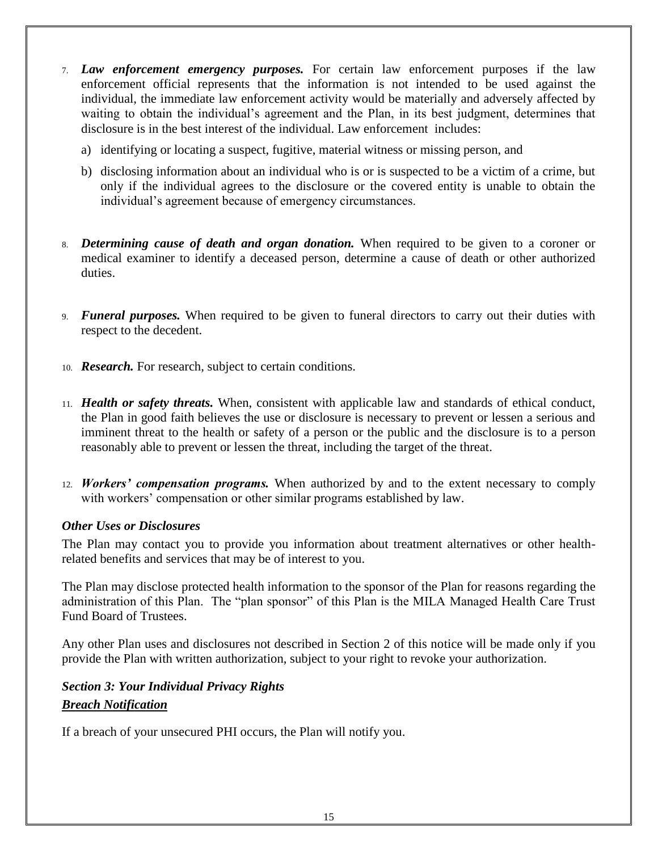- 7. *Law enforcement emergency purposes.* For certain law enforcement purposes if the law enforcement official represents that the information is not intended to be used against the individual, the immediate law enforcement activity would be materially and adversely affected by waiting to obtain the individual's agreement and the Plan, in its best judgment, determines that disclosure is in the best interest of the individual. Law enforcement includes:
	- a) identifying or locating a suspect, fugitive, material witness or missing person, and
	- b) disclosing information about an individual who is or is suspected to be a victim of a crime, but only if the individual agrees to the disclosure or the covered entity is unable to obtain the individual's agreement because of emergency circumstances.
- 8. *Determining cause of death and organ donation.* When required to be given to a coroner or medical examiner to identify a deceased person, determine a cause of death or other authorized duties.
- 9. *Funeral purposes.* When required to be given to funeral directors to carry out their duties with respect to the decedent.
- 10. *Research.* For research, subject to certain conditions.
- 11. *Health or safety threats.* When, consistent with applicable law and standards of ethical conduct, the Plan in good faith believes the use or disclosure is necessary to prevent or lessen a serious and imminent threat to the health or safety of a person or the public and the disclosure is to a person reasonably able to prevent or lessen the threat, including the target of the threat.
- 12. *Workers' compensation programs.* When authorized by and to the extent necessary to comply with workers' compensation or other similar programs established by law.

#### *Other Uses or Disclosures*

The Plan may contact you to provide you information about treatment alternatives or other healthrelated benefits and services that may be of interest to you.

The Plan may disclose protected health information to the sponsor of the Plan for reasons regarding the administration of this Plan. The "plan sponsor" of this Plan is the MILA Managed Health Care Trust Fund Board of Trustees.

Any other Plan uses and disclosures not described in Section 2 of this notice will be made only if you provide the Plan with written authorization, subject to your right to revoke your authorization.

## *Section 3: Your Individual Privacy Rights Breach Notification*

If a breach of your unsecured PHI occurs, the Plan will notify you.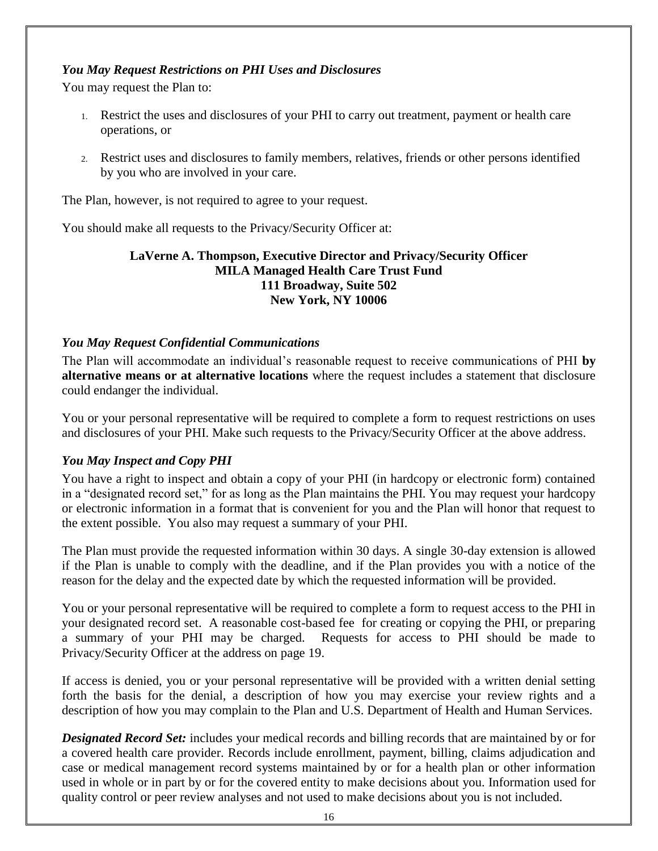#### *You May Request Restrictions on PHI Uses and Disclosures*

You may request the Plan to:

- 1. Restrict the uses and disclosures of your PHI to carry out treatment, payment or health care operations, or
- 2. Restrict uses and disclosures to family members, relatives, friends or other persons identified by you who are involved in your care.

The Plan, however, is not required to agree to your request.

You should make all requests to the Privacy/Security Officer at:

#### **LaVerne A. Thompson, Executive Director and Privacy/Security Officer MILA Managed Health Care Trust Fund 111 Broadway, Suite 502 New York, NY 10006**

#### *You May Request Confidential Communications*

The Plan will accommodate an individual's reasonable request to receive communications of PHI **by alternative means or at alternative locations** where the request includes a statement that disclosure could endanger the individual.

You or your personal representative will be required to complete a form to request restrictions on uses and disclosures of your PHI. Make such requests to the Privacy/Security Officer at the above address.

#### *You May Inspect and Copy PHI*

You have a right to inspect and obtain a copy of your PHI (in hardcopy or electronic form) contained in a "designated record set," for as long as the Plan maintains the PHI. You may request your hardcopy or electronic information in a format that is convenient for you and the Plan will honor that request to the extent possible. You also may request a summary of your PHI.

The Plan must provide the requested information within 30 days. A single 30-day extension is allowed if the Plan is unable to comply with the deadline, and if the Plan provides you with a notice of the reason for the delay and the expected date by which the requested information will be provided.

You or your personal representative will be required to complete a form to request access to the PHI in your designated record set. A reasonable cost-based fee for creating or copying the PHI, or preparing a summary of your PHI may be charged. Requests for access to PHI should be made to Privacy/Security Officer at the address on page 19.

If access is denied, you or your personal representative will be provided with a written denial setting forth the basis for the denial, a description of how you may exercise your review rights and a description of how you may complain to the Plan and U.S. Department of Health and Human Services.

*Designated Record Set:* includes your medical records and billing records that are maintained by or for a covered health care provider. Records include enrollment, payment, billing, claims adjudication and case or medical management record systems maintained by or for a health plan or other information used in whole or in part by or for the covered entity to make decisions about you. Information used for quality control or peer review analyses and not used to make decisions about you is not included.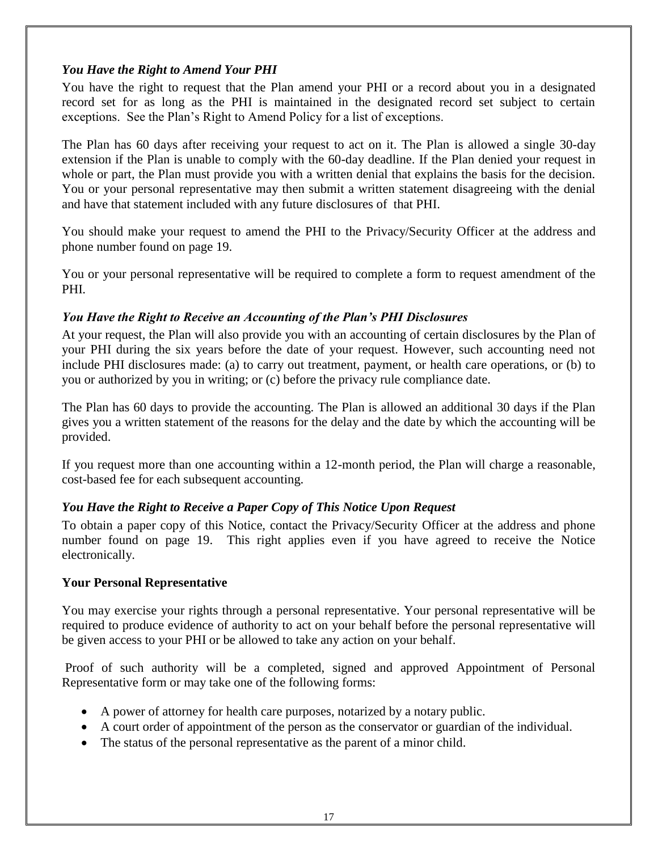#### *You Have the Right to Amend Your PHI*

You have the right to request that the Plan amend your PHI or a record about you in a designated record set for as long as the PHI is maintained in the designated record set subject to certain exceptions. See the Plan's Right to Amend Policy for a list of exceptions.

The Plan has 60 days after receiving your request to act on it. The Plan is allowed a single 30-day extension if the Plan is unable to comply with the 60-day deadline. If the Plan denied your request in whole or part, the Plan must provide you with a written denial that explains the basis for the decision. You or your personal representative may then submit a written statement disagreeing with the denial and have that statement included with any future disclosures of that PHI.

You should make your request to amend the PHI to the Privacy/Security Officer at the address and phone number found on page 19.

You or your personal representative will be required to complete a form to request amendment of the PHI.

#### *You Have the Right to Receive an Accounting of the Plan's PHI Disclosures*

At your request, the Plan will also provide you with an accounting of certain disclosures by the Plan of your PHI during the six years before the date of your request. However, such accounting need not include PHI disclosures made: (a) to carry out treatment, payment, or health care operations, or (b) to you or authorized by you in writing; or (c) before the privacy rule compliance date.

The Plan has 60 days to provide the accounting. The Plan is allowed an additional 30 days if the Plan gives you a written statement of the reasons for the delay and the date by which the accounting will be provided.

If you request more than one accounting within a 12-month period, the Plan will charge a reasonable, cost-based fee for each subsequent accounting.

#### *You Have the Right to Receive a Paper Copy of This Notice Upon Request*

To obtain a paper copy of this Notice, contact the Privacy/Security Officer at the address and phone number found on page 19. This right applies even if you have agreed to receive the Notice electronically.

#### **Your Personal Representative**

You may exercise your rights through a personal representative. Your personal representative will be required to produce evidence of authority to act on your behalf before the personal representative will be given access to your PHI or be allowed to take any action on your behalf.

Proof of such authority will be a completed, signed and approved Appointment of Personal Representative form or may take one of the following forms:

- A power of attorney for health care purposes, notarized by a notary public.
- A court order of appointment of the person as the conservator or guardian of the individual.
- The status of the personal representative as the parent of a minor child.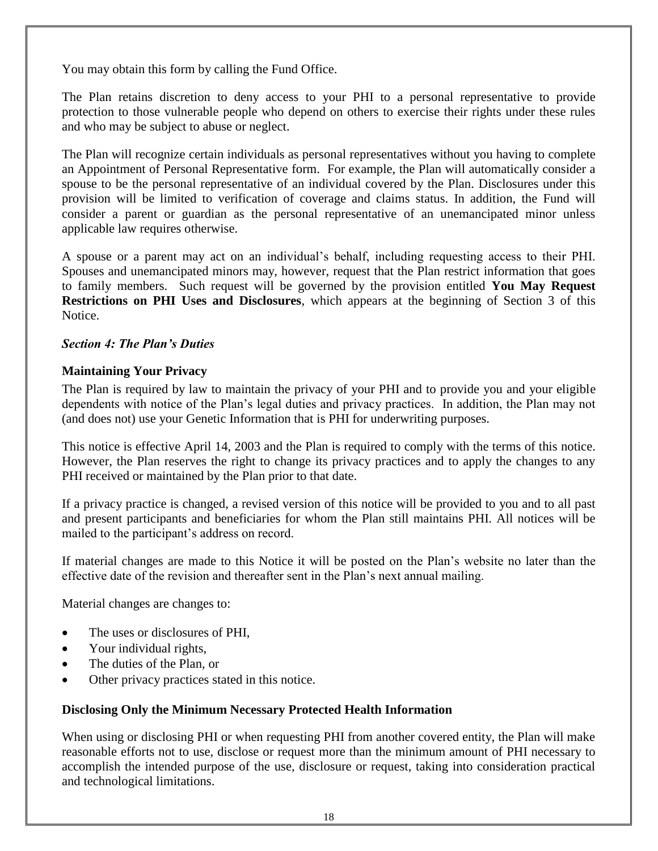You may obtain this form by calling the Fund Office.

The Plan retains discretion to deny access to your PHI to a personal representative to provide protection to those vulnerable people who depend on others to exercise their rights under these rules and who may be subject to abuse or neglect.

The Plan will recognize certain individuals as personal representatives without you having to complete an Appointment of Personal Representative form. For example, the Plan will automatically consider a spouse to be the personal representative of an individual covered by the Plan. Disclosures under this provision will be limited to verification of coverage and claims status. In addition, the Fund will consider a parent or guardian as the personal representative of an unemancipated minor unless applicable law requires otherwise.

A spouse or a parent may act on an individual's behalf, including requesting access to their PHI. Spouses and unemancipated minors may, however, request that the Plan restrict information that goes to family members. Such request will be governed by the provision entitled **You May Request Restrictions on PHI Uses and Disclosures**, which appears at the beginning of Section 3 of this Notice.

#### *Section 4: The Plan's Duties*

#### **Maintaining Your Privacy**

The Plan is required by law to maintain the privacy of your PHI and to provide you and your eligible dependents with notice of the Plan's legal duties and privacy practices. In addition, the Plan may not (and does not) use your Genetic Information that is PHI for underwriting purposes.

This notice is effective April 14, 2003 and the Plan is required to comply with the terms of this notice. However, the Plan reserves the right to change its privacy practices and to apply the changes to any PHI received or maintained by the Plan prior to that date.

If a privacy practice is changed, a revised version of this notice will be provided to you and to all past and present participants and beneficiaries for whom the Plan still maintains PHI. All notices will be mailed to the participant's address on record.

If material changes are made to this Notice it will be posted on the Plan's website no later than the effective date of the revision and thereafter sent in the Plan's next annual mailing.

Material changes are changes to:

- The uses or disclosures of PHI,
- Your individual rights,
- The duties of the Plan, or
- Other privacy practices stated in this notice.

#### **Disclosing Only the Minimum Necessary Protected Health Information**

When using or disclosing PHI or when requesting PHI from another covered entity, the Plan will make reasonable efforts not to use, disclose or request more than the minimum amount of PHI necessary to accomplish the intended purpose of the use, disclosure or request, taking into consideration practical and technological limitations.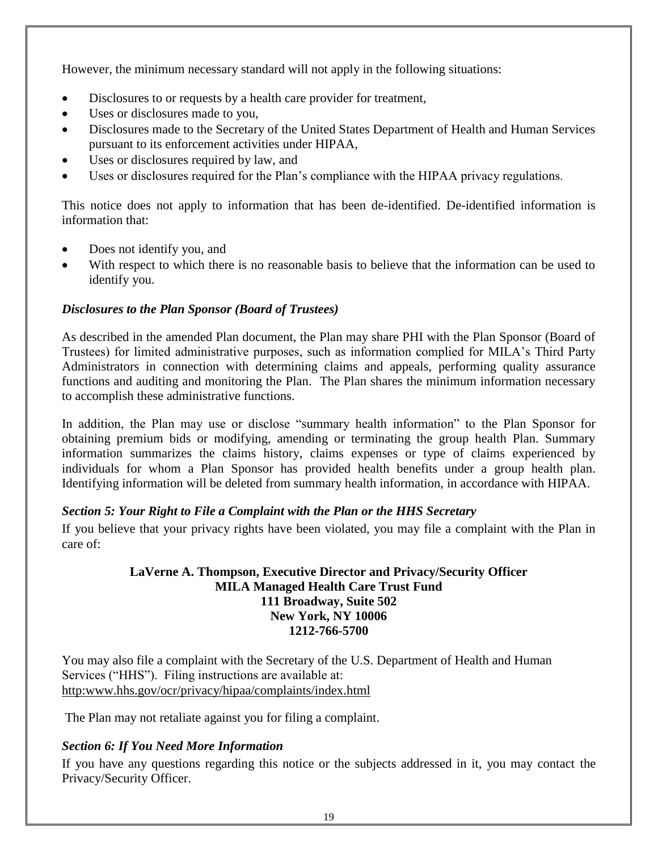However, the minimum necessary standard will not apply in the following situations:

- Disclosures to or requests by a health care provider for treatment,
- Uses or disclosures made to you,
- Disclosures made to the Secretary of the United States Department of Health and Human Services pursuant to its enforcement activities under HIPAA,
- Uses or disclosures required by law, and
- Uses or disclosures required for the Plan's compliance with the HIPAA privacy regulations.

This notice does not apply to information that has been de-identified. De-identified information is information that:

- Does not identify you, and
- With respect to which there is no reasonable basis to believe that the information can be used to identify you.

#### *Disclosures to the Plan Sponsor (Board of Trustees)*

As described in the amended Plan document, the Plan may share PHI with the Plan Sponsor (Board of Trustees) for limited administrative purposes, such as information complied for MILA's Third Party Administrators in connection with determining claims and appeals, performing quality assurance functions and auditing and monitoring the Plan. The Plan shares the minimum information necessary to accomplish these administrative functions.

In addition, the Plan may use or disclose "summary health information" to the Plan Sponsor for obtaining premium bids or modifying, amending or terminating the group health Plan. Summary information summarizes the claims history, claims expenses or type of claims experienced by individuals for whom a Plan Sponsor has provided health benefits under a group health plan. Identifying information will be deleted from summary health information, in accordance with HIPAA.

#### *Section 5: Your Right to File a Complaint with the Plan or the HHS Secretary*

If you believe that your privacy rights have been violated, you may file a complaint with the Plan in care of:

#### **LaVerne A. Thompson, Executive Director and Privacy/Security Officer MILA Managed Health Care Trust Fund 111 Broadway, Suite 502 New York, NY 10006 1212-766-5700**

You may also file a complaint with the Secretary of the U.S. Department of Health and Human Services ("HHS"). Filing instructions are available at: [http:www.hhs.gov/ocr/privacy/hipaa/complaints/index.html](http://www.hhs.gov/ocr/privacy/hipaa/complaints/index.html)

The Plan may not retaliate against you for filing a complaint.

#### *Section 6: If You Need More Information*

If you have any questions regarding this notice or the subjects addressed in it, you may contact the Privacy/Security Officer.